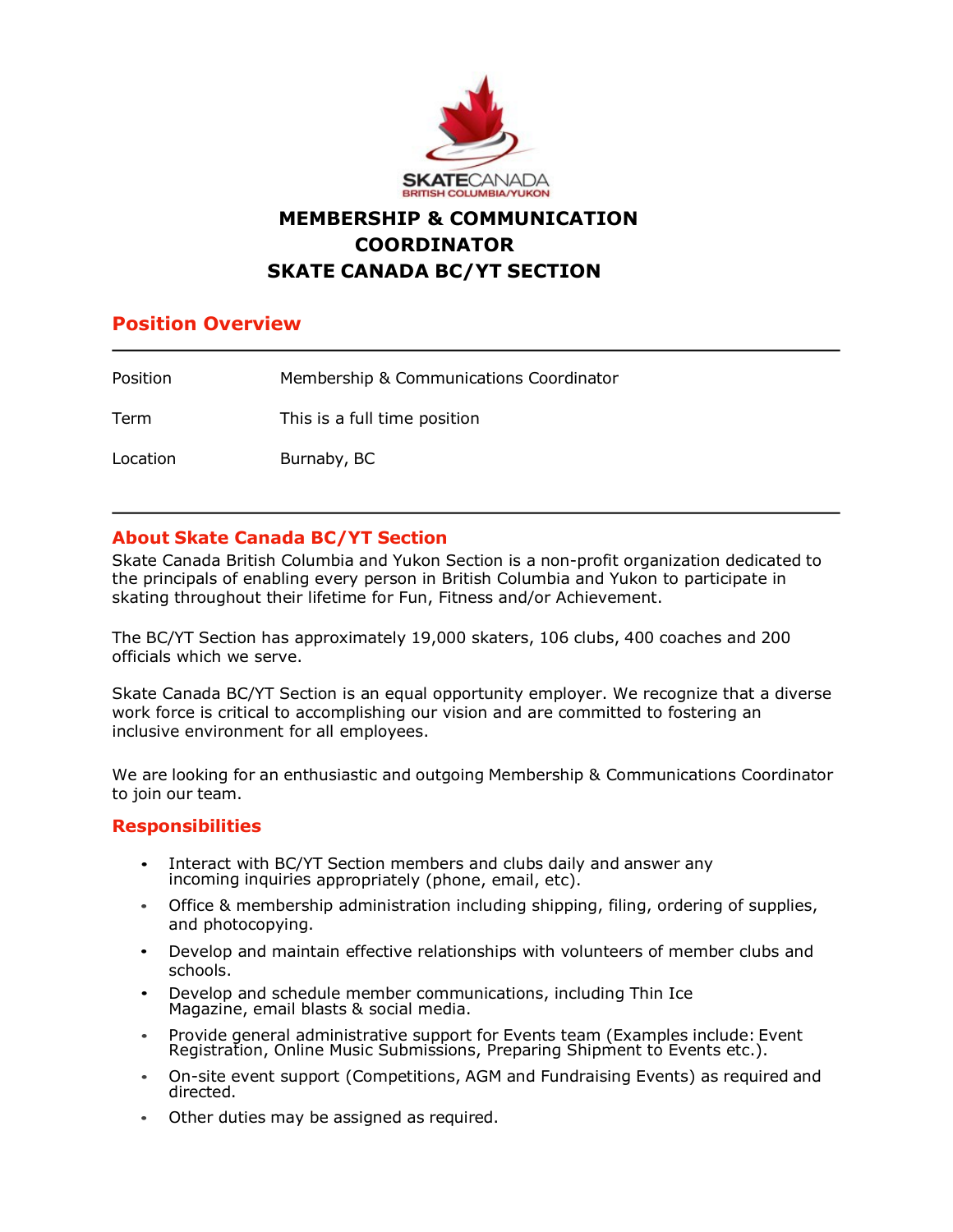

# **MEMBERSHIP & COMMUNICATION COORDINATOR SKATE CANADA BC/YT SECTION**

## **Position Overview**

| Position | Membership & Communications Coordinator |
|----------|-----------------------------------------|
| Term     | This is a full time position            |
| Location | Burnaby, BC                             |

### **About Skate Canada BC/YT Section**

Skate Canada British Columbia and Yukon Section is a non-profit organization dedicated to the principals of enabling every person in British Columbia and Yukon to participate in skating throughout their lifetime for Fun, Fitness and/or Achievement.

The BC/YT Section has approximately 19,000 skaters, 106 clubs, 400 coaches and 200 officials which we serve.

Skate Canada BC/YT Section is an equal opportunity employer. We recognize that a diverse work force is critical to accomplishing our vision and are committed to fostering an inclusive environment for all employees.

We are looking for an enthusiastic and outgoing Membership & Communications Coordinator to join our team.

### **Responsibilities**

- Interact with BC/YT Section members and clubs daily and answer any incoming inquiries appropriately (phone, email, etc).
- Office & membership administration including shipping, filing, ordering of supplies, and photocopying.
- Develop and maintain effective relationships with volunteers of member clubs and schools.
- Develop and schedule member communications, including Thin Ice Magazine, email blasts & social media.
- Provide general administrative support for Events team (Examples include: Event Registration, Online Music Submissions, Preparing Shipment to Events etc.).
- On-site event support (Competitions, AGM and Fundraising Events) as required and directed.
- Other duties may be assigned as required.